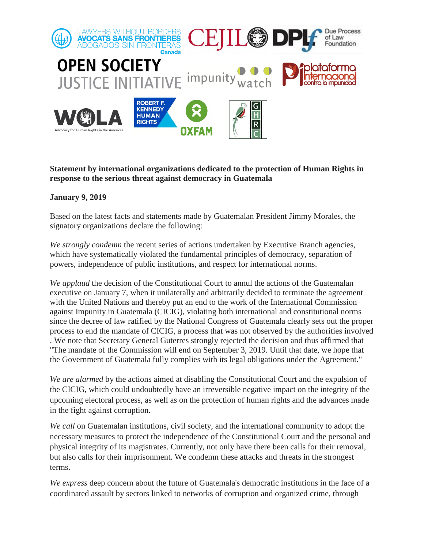

## **Statement by international organizations dedicated to the protection of Human Rights in response to the serious threat against democracy in Guatemala**

## **January 9, 2019**

Based on the latest facts and statements made by Guatemalan President Jimmy Morales, the signatory organizations declare the following:

*We strongly condemn* the recent series of actions undertaken by Executive Branch agencies, which have systematically violated the fundamental principles of democracy, separation of powers, independence of public institutions, and respect for international norms.

*We applaud* the decision of the Constitutional Court to annul the actions of the Guatemalan executive on January 7, when it unilaterally and arbitrarily decided to terminate the agreement with the United Nations and thereby put an end to the work of the International Commission against Impunity in Guatemala (CICIG), violating both international and constitutional norms since the decree of law ratified by the National Congress of Guatemala clearly sets out the proper process to end the mandate of CICIG, a process that was not observed by the authorities involved . We note that Secretary General Guterres strongly rejected the decision and thus affirmed that "The mandate of the Commission will end on September 3, 2019. Until that date, we hope that the Government of Guatemala fully complies with its legal obligations under the Agreement."

*We are alarmed* by the actions aimed at disabling the Constitutional Court and the expulsion of the CICIG, which could undoubtedly have an irreversible negative impact on the integrity of the upcoming electoral process, as well as on the protection of human rights and the advances made in the fight against corruption.

*We call* on Guatemalan institutions, civil society, and the international community to adopt the necessary measures to protect the independence of the Constitutional Court and the personal and physical integrity of its magistrates. Currently, not only have there been calls for their removal, but also calls for their imprisonment. We condemn these attacks and threats in the strongest terms.

*We express* deep concern about the future of Guatemala's democratic institutions in the face of a coordinated assault by sectors linked to networks of corruption and organized crime, through